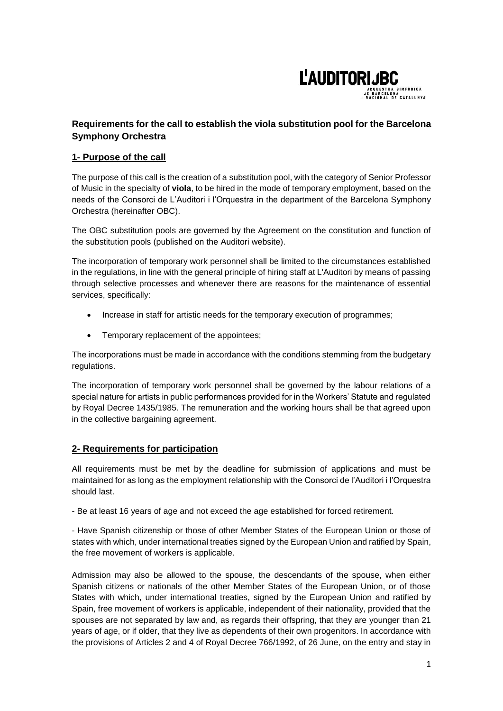

# **Requirements for the call to establish the viola substitution pool for the Barcelona Symphony Orchestra**

# **1- Purpose of the call**

The purpose of this call is the creation of a substitution pool, with the category of Senior Professor of Music in the specialty of **viola**, to be hired in the mode of temporary employment, based on the needs of the Consorci de L'Auditori i l'Orquestra in the department of the Barcelona Symphony Orchestra (hereinafter OBC).

The OBC substitution pools are governed by the Agreement on the constitution and function of the substitution pools (published on the Auditori website).

The incorporation of temporary work personnel shall be limited to the circumstances established in the regulations, in line with the general principle of hiring staff at L'Auditori by means of passing through selective processes and whenever there are reasons for the maintenance of essential services, specifically:

- Increase in staff for artistic needs for the temporary execution of programmes;
- Temporary replacement of the appointees;

The incorporations must be made in accordance with the conditions stemming from the budgetary regulations.

The incorporation of temporary work personnel shall be governed by the labour relations of a special nature for artists in public performances provided for in the Workers' Statute and regulated by Royal Decree 1435/1985. The remuneration and the working hours shall be that agreed upon in the collective bargaining agreement.

## **2- Requirements for participation**

All requirements must be met by the deadline for submission of applications and must be maintained for as long as the employment relationship with the Consorci de l'Auditori i l'Orquestra should last.

- Be at least 16 years of age and not exceed the age established for forced retirement.

- Have Spanish citizenship or those of other Member States of the European Union or those of states with which, under international treaties signed by the European Union and ratified by Spain, the free movement of workers is applicable.

Admission may also be allowed to the spouse, the descendants of the spouse, when either Spanish citizens or nationals of the other Member States of the European Union, or of those States with which, under international treaties, signed by the European Union and ratified by Spain, free movement of workers is applicable, independent of their nationality, provided that the spouses are not separated by law and, as regards their offspring, that they are younger than 21 years of age, or if older, that they live as dependents of their own progenitors. In accordance with the provisions of Articles 2 and 4 of Royal Decree 766/1992, of 26 June, on the entry and stay in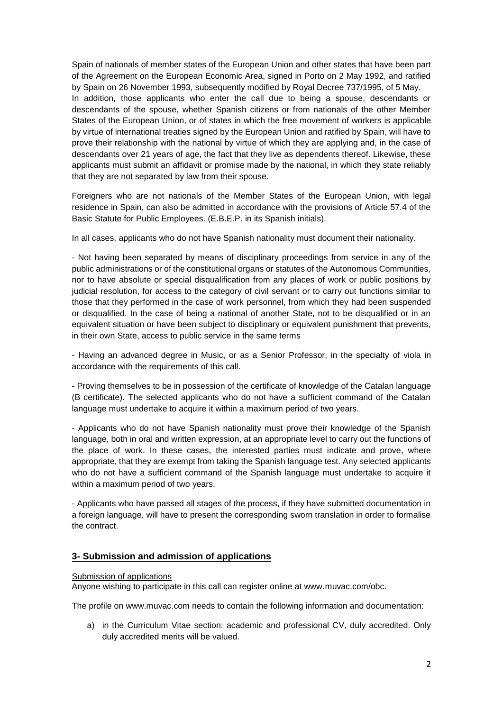Spain of nationals of member states of the European Union and other states that have been part of the Agreement on the European Economic Area, signed in Porto on 2 May 1992, and ratified by Spain on 26 November 1993, subsequently modified by Royal Decree 737/1995, of 5 May. In addition, those applicants who enter the call due to being a spouse, descendants or descendants of the spouse, whether Spanish citizens or from nationals of the other Member States of the European Union, or of states in which the free movement of workers is applicable by virtue of international treaties signed by the European Union and ratified by Spain, will have to prove their relationship with the national by virtue of which they are applying and, in the case of descendants over 21 years of age, the fact that they live as dependents thereof. Likewise, these applicants must submit an affidavit or promise made by the national, in which they state reliably that they are not separated by law from their spouse.

Foreigners who are not nationals of the Member States of the European Union, with legal residence in Spain, can also be admitted in accordance with the provisions of Article 57.4 of the Basic Statute for Public Employees. (E.B.E.P. in its Spanish initials).

In all cases, applicants who do not have Spanish nationality must document their nationality.

- Not having been separated by means of disciplinary proceedings from service in any of the public administrations or of the constitutional organs or statutes of the Autonomous Communities, nor to have absolute or special disqualification from any places of work or public positions by judicial resolution, for access to the category of civil servant or to carry out functions similar to those that they performed in the case of work personnel, from which they had been suspended or disqualified. In the case of being a national of another State, not to be disqualified or in an equivalent situation or have been subject to disciplinary or equivalent punishment that prevents, in their own State, access to public service in the same terms

- Having an advanced degree in Music, or as a Senior Professor, in the specialty of viola in accordance with the requirements of this call.

- Proving themselves to be in possession of the certificate of knowledge of the Catalan language (B certificate). The selected applicants who do not have a sufficient command of the Catalan language must undertake to acquire it within a maximum period of two years.

- Applicants who do not have Spanish nationality must prove their knowledge of the Spanish language, both in oral and written expression, at an appropriate level to carry out the functions of the place of work. In these cases, the interested parties must indicate and prove, where appropriate, that they are exempt from taking the Spanish language test. Any selected applicants who do not have a sufficient command of the Spanish language must undertake to acquire it within a maximum period of two years.

- Applicants who have passed all stages of the process, if they have submitted documentation in a foreign language, will have to present the corresponding sworn translation in order to formalise the contract.

## **3- Submission and admission of applications**

#### Submission of applications

Anyone wishing to participate in this call can register online at www.muvac.com/obc.

The profile on www.muvac.com needs to contain the following information and documentation:

a) in the Curriculum Vitae section: academic and professional CV, duly accredited. Only duly accredited merits will be valued.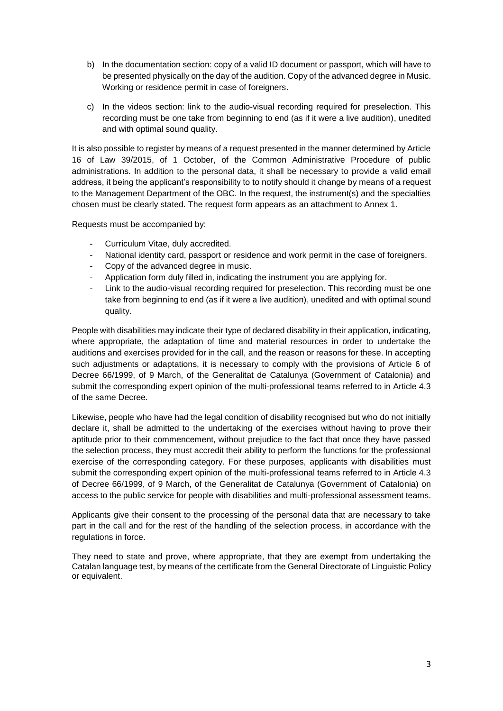- b) In the documentation section: copy of a valid ID document or passport, which will have to be presented physically on the day of the audition. Copy of the advanced degree in Music. Working or residence permit in case of foreigners.
- c) In the videos section: link to the audio-visual recording required for preselection. This recording must be one take from beginning to end (as if it were a live audition), unedited and with optimal sound quality.

It is also possible to register by means of a request presented in the manner determined by Article 16 of Law 39/2015, of 1 October, of the Common Administrative Procedure of public administrations. In addition to the personal data, it shall be necessary to provide a valid email address, it being the applicant's responsibility to to notify should it change by means of a request to the Management Department of the OBC. In the request, the instrument(s) and the specialties chosen must be clearly stated. The request form appears as an attachment to Annex 1.

Requests must be accompanied by:

- Curriculum Vitae, duly accredited.
- National identity card, passport or residence and work permit in the case of foreigners.
- Copy of the advanced degree in music.
- Application form duly filled in, indicating the instrument you are applying for.
- Link to the audio-visual recording required for preselection. This recording must be one take from beginning to end (as if it were a live audition), unedited and with optimal sound quality.

People with disabilities may indicate their type of declared disability in their application, indicating, where appropriate, the adaptation of time and material resources in order to undertake the auditions and exercises provided for in the call, and the reason or reasons for these. In accepting such adjustments or adaptations, it is necessary to comply with the provisions of Article 6 of Decree 66/1999, of 9 March, of the Generalitat de Catalunya (Government of Catalonia) and submit the corresponding expert opinion of the multi-professional teams referred to in Article 4.3 of the same Decree.

Likewise, people who have had the legal condition of disability recognised but who do not initially declare it, shall be admitted to the undertaking of the exercises without having to prove their aptitude prior to their commencement, without prejudice to the fact that once they have passed the selection process, they must accredit their ability to perform the functions for the professional exercise of the corresponding category. For these purposes, applicants with disabilities must submit the corresponding expert opinion of the multi-professional teams referred to in Article 4.3 of Decree 66/1999, of 9 March, of the Generalitat de Catalunya (Government of Catalonia) on access to the public service for people with disabilities and multi-professional assessment teams.

Applicants give their consent to the processing of the personal data that are necessary to take part in the call and for the rest of the handling of the selection process, in accordance with the regulations in force.

They need to state and prove, where appropriate, that they are exempt from undertaking the Catalan language test, by means of the certificate from the General Directorate of Linguistic Policy or equivalent.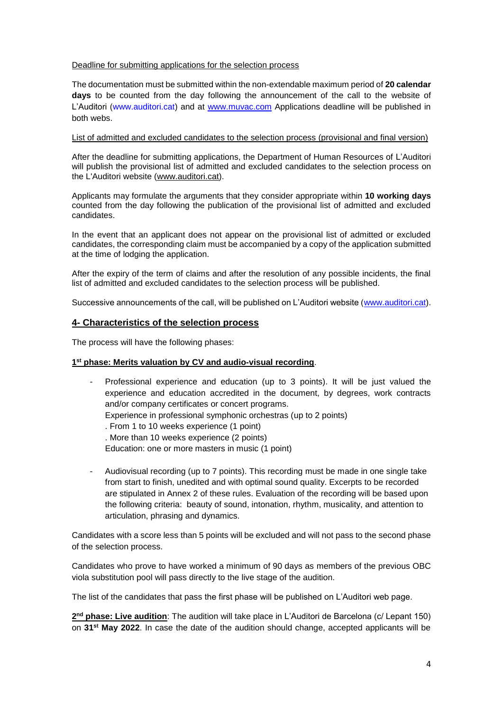#### Deadline for submitting applications for the selection process

The documentation must be submitted within the non-extendable maximum period of **20 calendar days** to be counted from the day following the announcement of the call to the website of L'Auditori [\(www.auditori.cat\)](http://www.auditori.cat/) and at [www.muvac.com](http://www.muvac.com/) Applications deadline will be published in both webs.

#### List of admitted and excluded candidates to the selection process (provisional and final version)

After the deadline for submitting applications, the Department of Human Resources of L'Auditori will publish the provisional list of admitted and excluded candidates to the selection process on the L'Auditori website [\(www.auditori.cat\)](http://www.auditori.cat/).

Applicants may formulate the arguments that they consider appropriate within **10 working days** counted from the day following the publication of the provisional list of admitted and excluded candidates.

In the event that an applicant does not appear on the provisional list of admitted or excluded candidates, the corresponding claim must be accompanied by a copy of the application submitted at the time of lodging the application.

After the expiry of the term of claims and after the resolution of any possible incidents, the final list of admitted and excluded candidates to the selection process will be published.

Successive announcements of the call, will be published on L'Auditori website [\(www.auditori.cat\)](http://www.auditori.cat/).

# **4- Characteristics of the selection process**

The process will have the following phases:

## **1 st phase: Merits valuation by CV and audio-visual recording**.

| $\blacksquare$ | Professional experience and education (up to 3 points). It will be just valued the |  |  |  |
|----------------|------------------------------------------------------------------------------------|--|--|--|
|                | experience and education accredited in the document, by degrees, work contracts    |  |  |  |
|                | and/or company certificates or concert programs.                                   |  |  |  |
|                | Experience in professional symphonic orchestras (up to 2 points)                   |  |  |  |
|                | . From 1 to 10 weeks experience (1 point)                                          |  |  |  |
|                | . More than 10 weeks experience (2 points)                                         |  |  |  |
|                | Education: one or more masters in music (1 point)                                  |  |  |  |
|                |                                                                                    |  |  |  |

- Audiovisual recording (up to 7 points). This recording must be made in one single take from start to finish, unedited and with optimal sound quality. Excerpts to be recorded are stipulated in Annex 2 of these rules. Evaluation of the recording will be based upon the following criteria: beauty of sound, intonation, rhythm, musicality, and attention to articulation, phrasing and dynamics.

Candidates with a score less than 5 points will be excluded and will not pass to the second phase of the selection process.

Candidates who prove to have worked a minimum of 90 days as members of the previous OBC viola substitution pool will pass directly to the live stage of the audition.

The list of the candidates that pass the first phase will be published on L'Auditori web page.

**2 nd phase: Live audition**: The audition will take place in L'Auditori de Barcelona (c/ Lepant 150) on **31st May 2022**. In case the date of the audition should change, accepted applicants will be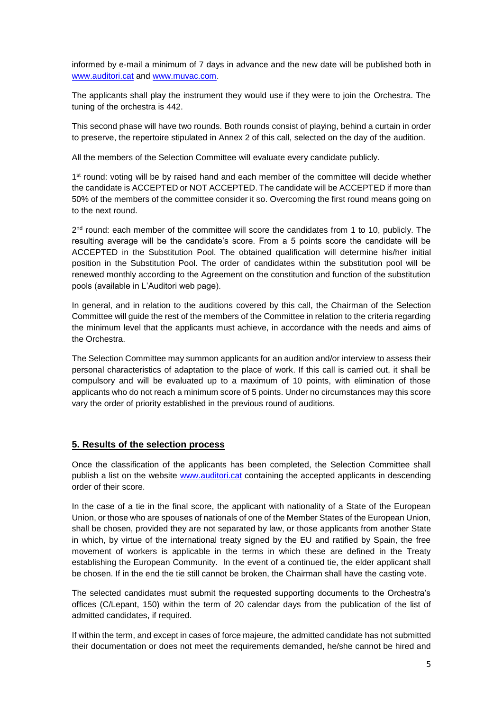informed by e-mail a minimum of 7 days in advance and the new date will be published both in [www.auditori.cat](file://///cao-shares/artistic_OBC/PROVES/2020/BORSA%20DE%20TREBALL%20FLAUTA/www.auditori.cat%20) and [www.muvac.com.](file://///cao-shares/artistic_OBC/PROVES/2020/BORSA%20DE%20TREBALL%20FLAUTA/www.muvac.com)

The applicants shall play the instrument they would use if they were to join the Orchestra. The tuning of the orchestra is 442.

This second phase will have two rounds. Both rounds consist of playing, behind a curtain in order to preserve, the repertoire stipulated in Annex 2 of this call, selected on the day of the audition.

All the members of the Selection Committee will evaluate every candidate publicly.

1<sup>st</sup> round: voting will be by raised hand and each member of the committee will decide whether the candidate is ACCEPTED or NOT ACCEPTED. The candidate will be ACCEPTED if more than 50% of the members of the committee consider it so. Overcoming the first round means going on to the next round.

2<sup>nd</sup> round: each member of the committee will score the candidates from 1 to 10, publicly. The resulting average will be the candidate's score. From a 5 points score the candidate will be ACCEPTED in the Substitution Pool. The obtained qualification will determine his/her initial position in the Substitution Pool. The order of candidates within the substitution pool will be renewed monthly according to the Agreement on the constitution and function of the substitution pools (available in L'Auditori web page).

In general, and in relation to the auditions covered by this call, the Chairman of the Selection Committee will guide the rest of the members of the Committee in relation to the criteria regarding the minimum level that the applicants must achieve, in accordance with the needs and aims of the Orchestra.

The Selection Committee may summon applicants for an audition and/or interview to assess their personal characteristics of adaptation to the place of work. If this call is carried out, it shall be compulsory and will be evaluated up to a maximum of 10 points, with elimination of those applicants who do not reach a minimum score of 5 points. Under no circumstances may this score vary the order of priority established in the previous round of auditions.

# **5. Results of the selection process**

Once the classification of the applicants has been completed, the Selection Committee shall publish a list on the website [www.auditori.cat](http://www.auditori.cat/) containing the accepted applicants in descending order of their score.

In the case of a tie in the final score, the applicant with nationality of a State of the European Union, or those who are spouses of nationals of one of the Member States of the European Union, shall be chosen, provided they are not separated by law, or those applicants from another State in which, by virtue of the international treaty signed by the EU and ratified by Spain, the free movement of workers is applicable in the terms in which these are defined in the Treaty establishing the European Community. In the event of a continued tie, the elder applicant shall be chosen. If in the end the tie still cannot be broken, the Chairman shall have the casting vote.

The selected candidates must submit the requested supporting documents to the Orchestra's offices (C/Lepant, 150) within the term of 20 calendar days from the publication of the list of admitted candidates, if required.

If within the term, and except in cases of force majeure, the admitted candidate has not submitted their documentation or does not meet the requirements demanded, he/she cannot be hired and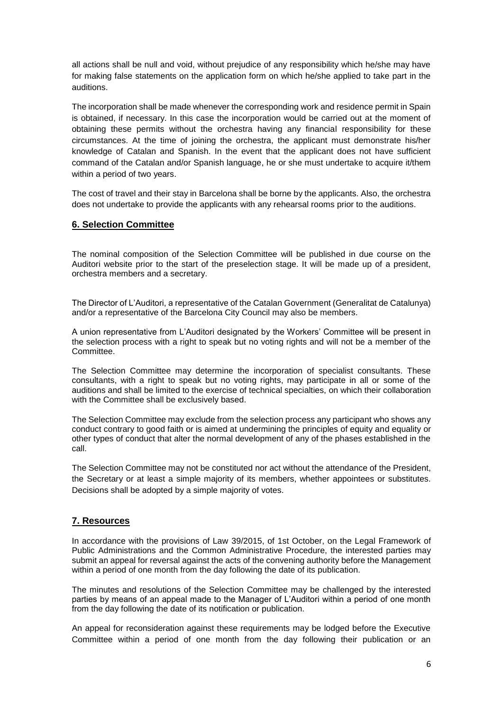all actions shall be null and void, without prejudice of any responsibility which he/she may have for making false statements on the application form on which he/she applied to take part in the auditions.

The incorporation shall be made whenever the corresponding work and residence permit in Spain is obtained, if necessary. In this case the incorporation would be carried out at the moment of obtaining these permits without the orchestra having any financial responsibility for these circumstances. At the time of joining the orchestra, the applicant must demonstrate his/her knowledge of Catalan and Spanish. In the event that the applicant does not have sufficient command of the Catalan and/or Spanish language, he or she must undertake to acquire it/them within a period of two years.

The cost of travel and their stay in Barcelona shall be borne by the applicants. Also, the orchestra does not undertake to provide the applicants with any rehearsal rooms prior to the auditions.

# **6. Selection Committee**

The nominal composition of the Selection Committee will be published in due course on the Auditori website prior to the start of the preselection stage. It will be made up of a president, orchestra members and a secretary.

The Director of L'Auditori, a representative of the Catalan Government (Generalitat de Catalunya) and/or a representative of the Barcelona City Council may also be members.

A union representative from L'Auditori designated by the Workers' Committee will be present in the selection process with a right to speak but no voting rights and will not be a member of the Committee.

The Selection Committee may determine the incorporation of specialist consultants. These consultants, with a right to speak but no voting rights, may participate in all or some of the auditions and shall be limited to the exercise of technical specialties, on which their collaboration with the Committee shall be exclusively based.

The Selection Committee may exclude from the selection process any participant who shows any conduct contrary to good faith or is aimed at undermining the principles of equity and equality or other types of conduct that alter the normal development of any of the phases established in the call.

The Selection Committee may not be constituted nor act without the attendance of the President, the Secretary or at least a simple majority of its members, whether appointees or substitutes. Decisions shall be adopted by a simple majority of votes.

# **7. Resources**

In accordance with the provisions of Law 39/2015, of 1st October, on the Legal Framework of Public Administrations and the Common Administrative Procedure, the interested parties may submit an appeal for reversal against the acts of the convening authority before the Management within a period of one month from the day following the date of its publication.

The minutes and resolutions of the Selection Committee may be challenged by the interested parties by means of an appeal made to the Manager of L'Auditori within a period of one month from the day following the date of its notification or publication.

An appeal for reconsideration against these requirements may be lodged before the Executive Committee within a period of one month from the day following their publication or an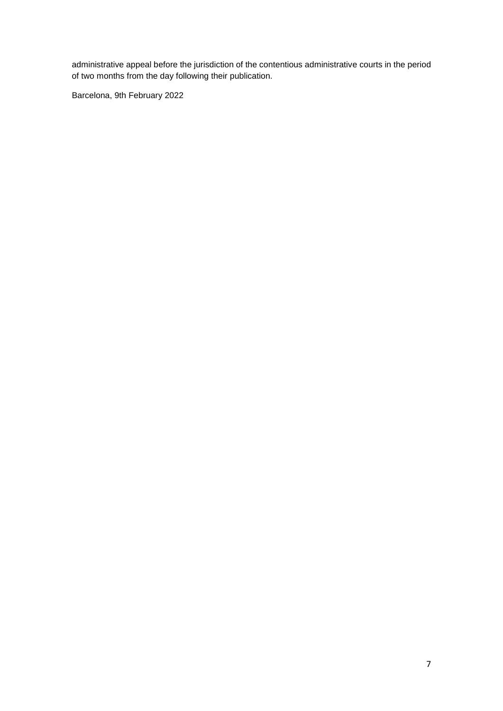administrative appeal before the jurisdiction of the contentious administrative courts in the period of two months from the day following their publication.

Barcelona, 9th February 2022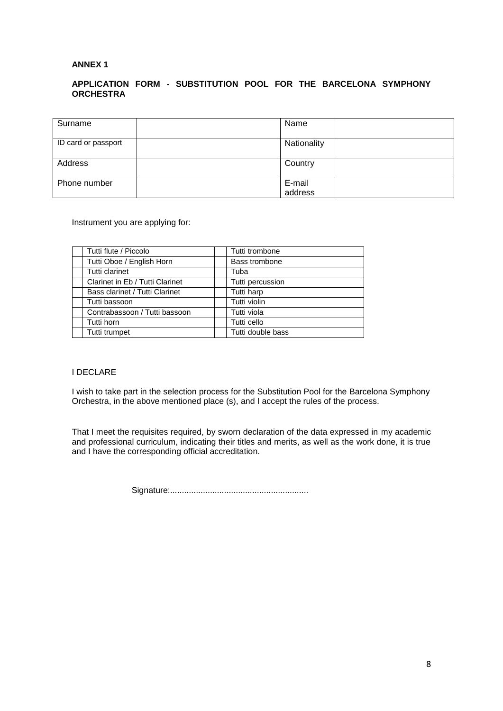#### **ANNEX 1**

## **APPLICATION FORM - SUBSTITUTION POOL FOR THE BARCELONA SYMPHONY ORCHESTRA**

| Surname             | Name        |  |
|---------------------|-------------|--|
|                     |             |  |
|                     |             |  |
|                     |             |  |
| ID card or passport |             |  |
|                     | Nationality |  |
|                     |             |  |
|                     |             |  |
|                     |             |  |
| Address             | Country     |  |
|                     |             |  |
|                     |             |  |
| Phone number        |             |  |
|                     | E-mail      |  |
|                     |             |  |
|                     | address     |  |

Instrument you are applying for:

| Tutti flute / Piccolo           | Tutti trombone    |
|---------------------------------|-------------------|
| Tutti Oboe / English Horn       | Bass trombone     |
| Tutti clarinet                  | Tuba              |
| Clarinet in Eb / Tutti Clarinet | Tutti percussion  |
| Bass clarinet / Tutti Clarinet  | Tutti harp        |
| Tutti bassoon                   | Tutti violin      |
| Contrabassoon / Tutti bassoon   | Tutti viola       |
| Tutti horn                      | Tutti cello       |
| Tutti trumpet                   | Tutti double bass |

# I DECLARE

I wish to take part in the selection process for the Substitution Pool for the Barcelona Symphony Orchestra, in the above mentioned place (s), and I accept the rules of the process.

That I meet the requisites required, by sworn declaration of the data expressed in my academic and professional curriculum, indicating their titles and merits, as well as the work done, it is true and I have the corresponding official accreditation.

Signature:...........................................................